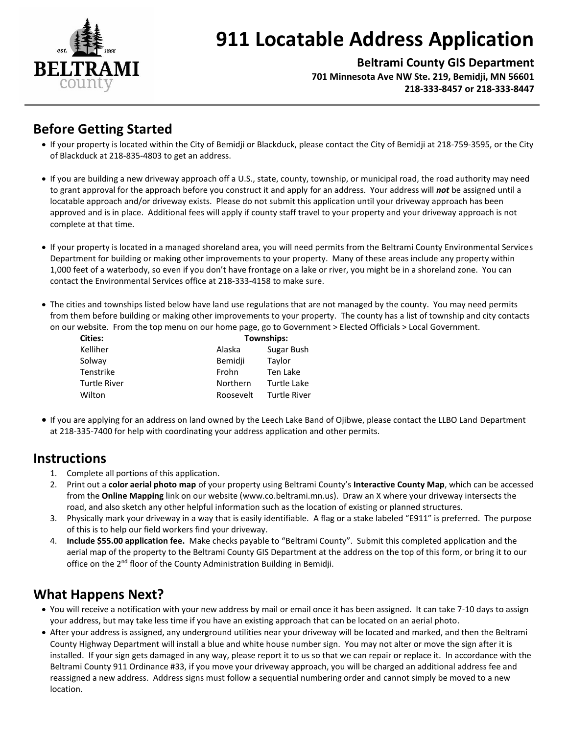

# **911 Locatable Address Application**

**Beltrami County GIS Department 701 Minnesota Ave NW Ste. 219, Bemidji, MN 56601 218-333-8457 or 218-333-8447**

## **Before Getting Started**

- If your property is located within the City of Bemidji or Blackduck, please contact the City of Bemidji at 218-759-3595, or the City of Blackduck at 218-835-4803 to get an address.
- If you are building a new driveway approach off a U.S., state, county, township, or municipal road, the road authority may need to grant approval for the approach before you construct it and apply for an address. Your address will *not* be assigned until a locatable approach and/or driveway exists. Please do not submit this application until your driveway approach has been approved and is in place. Additional fees will apply if county staff travel to your property and your driveway approach is not complete at that time.
- If your property is located in a managed shoreland area, you will need permits from the Beltrami County Environmental Services Department for building or making other improvements to your property. Many of these areas include any property within 1,000 feet of a waterbody, so even if you don't have frontage on a lake or river, you might be in a shoreland zone. You can contact the Environmental Services office at 218-333-4158 to make sure.
- The cities and townships listed below have land use regulations that are not managed by the county. You may need permits from them before building or making other improvements to your property. The county has a list of township and city contacts on our website. From the top menu on our home page, go to Government > Elected Officials > Local Government.

| <b>Cities:</b>      | Townships: |                     |
|---------------------|------------|---------------------|
| Kelliher            | Alaska     | Sugar Bush          |
| Solway              | Bemidji    | Taylor              |
| Tenstrike           | Frohn      | Ten Lake            |
| <b>Turtle River</b> | Northern   | Turtle Lake         |
| Wilton              | Roosevelt  | <b>Turtle River</b> |

 If you are applying for an address on land owned by the Leech Lake Band of Ojibwe, please contact the LLBO Land Department at 218-335-7400 for help with coordinating your address application and other permits.

### **Instructions**

- 1. Complete all portions of this application.
- 2. Print out a **color aerial photo map** of your property using Beltrami County's **Interactive County Map**, which can be accessed from the **Online Mapping** link on our website (www.co.beltrami.mn.us). Draw an X where your driveway intersects the road, and also sketch any other helpful information such as the location of existing or planned structures.
- 3. Physically mark your driveway in a way that is easily identifiable. A flag or a stake labeled "E911" is preferred. The purpose of this is to help our field workers find your driveway.
- 4. **Include \$55.00 application fee.** Make checks payable to "Beltrami County". Submit this completed application and the aerial map of the property to the Beltrami County GIS Department at the address on the top of this form, or bring it to our office on the 2<sup>nd</sup> floor of the County Administration Building in Bemidji.

## **What Happens Next?**

- You will receive a notification with your new address by mail or email once it has been assigned. It can take 7-10 days to assign your address, but may take less time if you have an existing approach that can be located on an aerial photo.
- After your address is assigned, any underground utilities near your driveway will be located and marked, and then the Beltrami County Highway Department will install a blue and white house number sign. You may not alter or move the sign after it is installed. If your sign gets damaged in any way, please report it to us so that we can repair or replace it. In accordance with the Beltrami County 911 Ordinance #33, if you move your driveway approach, you will be charged an additional address fee and reassigned a new address. Address signs must follow a sequential numbering order and cannot simply be moved to a new location.